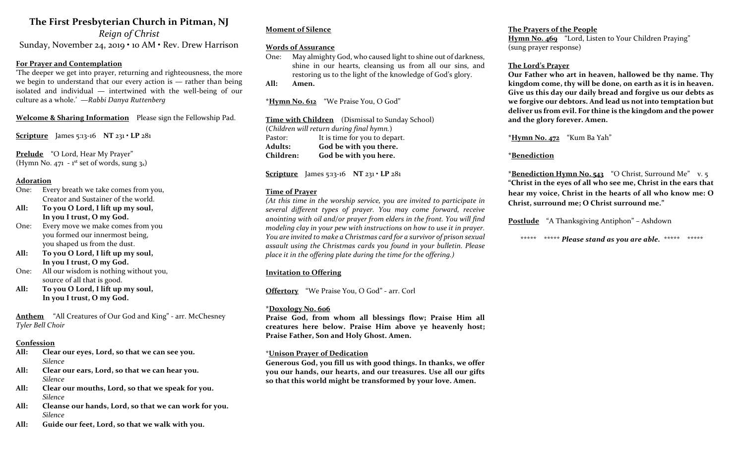# The First Presbyterian Church in Pitman, NJ

Reign of Christ Sunday, November 24, 2019 • 10 AM • Rev. Drew Harrison

# For Prayer and Contemplation

'The deeper we get into prayer, returning and righteousness, the more we begin to understand that our every action is — rather than being isolated and individual — intertwined with the well-being of our culture as a whole.' —Rabbi Danya Ruttenberg

Welcome & Sharing Information Please sign the Fellowship Pad.

Scripture James 5:13-16 NT  $231 \cdot LP 281$ 

Prelude "O Lord, Hear My Prayer" (Hymn No. 471 -  $1<sup>st</sup>$  set of words, sung  $3<sub>x</sub>$ )

#### Adoration

- One: Every breath we take comes from you, Creator and Sustainer of the world.
- All: To you O Lord, I lift up my soul, In you I trust, O my God.
- One: Every move we make comes from you you formed our innermost being, you shaped us from the dust.
- All: To you O Lord, I lift up my soul, In you I trust, O my God.
- One: All our wisdom is nothing without you, source of all that is good.
- All: To you O Lord, I lift up my soul, In you I trust, O my God.

Anthem "All Creatures of Our God and King" - arr. McChesney Tyler Bell Choir

#### Confession

- All: Clear our eyes, Lord, so that we can see you. Silence
- All: Clear our ears, Lord, so that we can hear you. Silence
- All: Clear our mouths, Lord, so that we speak for you. Silence
- All: Cleanse our hands, Lord, so that we can work for you. Silence
- All: Guide our feet, Lord, so that we walk with you.

#### Moment of Silence

#### Words of Assurance

One: May almighty God, who caused light to shine out of darkness, shine in our hearts, cleansing us from all our sins, and restoring us to the light of the knowledge of God's glory.

All: Amen.

\*Hymn No. 612 "We Praise You, O God"

Time with Children (Dismissal to Sunday School) (Children will return during final hymn.) Pastor: It is time for you to depart. Adults: God be with you there. Children: God be with you here.

Scripture James 5:13-16 NT  $231 \cdot LP 281$ 

#### Time of Prayer

(At this time in the worship service, you are invited to participate in several different types of prayer. You may come forward, receive anointing with oil and/or prayer from elders in the front. You will find modeling clay in your pew with instructions on how to use it in prayer. You are invited to make a Christmas card for a survivor of prison sexual assault using the Christmas cards you found in your bulletin. Please place it in the offering plate during the time for the offering.)

#### Invitation to Offering

Offertory "We Praise You, O God" - arr. Corl

#### \*Doxology No. 606

Praise God, from whom all blessings flow; Praise Him all creatures here below. Praise Him above ye heavenly host; Praise Father, Son and Holy Ghost. Amen.

#### \*Unison Prayer of Dedication

Generous God, you fill us with good things. In thanks, we offer you our hands, our hearts, and our treasures. Use all our gifts so that this world might be transformed by your love. Amen.

#### The Prayers of the People Hymn No. 469 "Lord, Listen to Your Children Praying" (sung prayer response)

# The Lord's Prayer

Our Father who art in heaven, hallowed be thy name. Thy kingdom come, thy will be done, on earth as it is in heaven. Give us this day our daily bread and forgive us our debts as we forgive our debtors. And lead us not into temptation but deliver us from evil. For thine is the kingdom and the power and the glory forever. Amen.

\*Hymn No. 472 "Kum Ba Yah"

### \*Benediction

\***Benediction Hymn No. 543** "O Christ, Surround Me" v. 5 "Christ in the eyes of all who see me, Christ in the ears that hear my voice, Christ in the hearts of all who know me: O Christ, surround me; O Christ surround me."

Postlude "A Thanksgiving Antiphon" – Ashdown

\*\*\*\*\* \*\*\*\*\* Please stand as you are able. \*\*\*\*\* \*\*\*\*\*